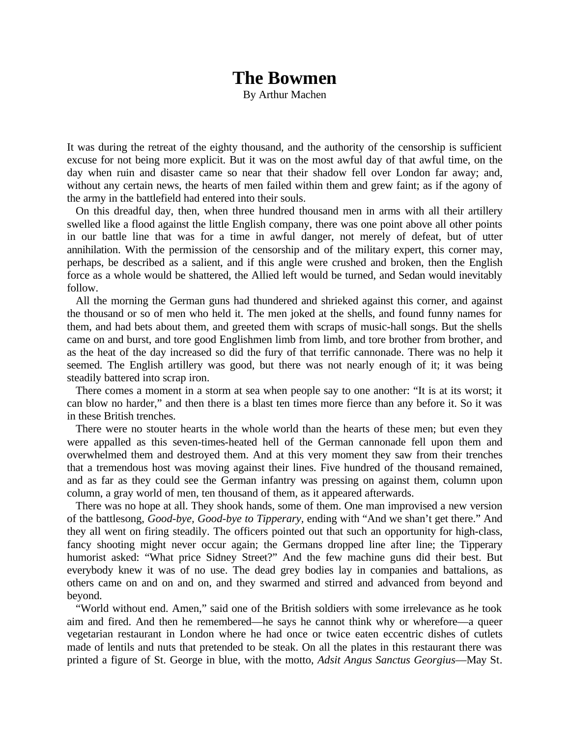## **The Bowmen**

By Arthur Machen

It was during the retreat of the eighty thousand, and the authority of the censorship is sufficient excuse for not being more explicit. But it was on the most awful day of that awful time, on the day when ruin and disaster came so near that their shadow fell over London far away; and, without any certain news, the hearts of men failed within them and grew faint; as if the agony of the army in the battlefield had entered into their souls.

On this dreadful day, then, when three hundred thousand men in arms with all their artillery swelled like a flood against the little English company, there was one point above all other points in our battle line that was for a time in awful danger, not merely of defeat, but of utter annihilation. With the permission of the censorship and of the military expert, this corner may, perhaps, be described as a salient, and if this angle were crushed and broken, then the English force as a whole would be shattered, the Allied left would be turned, and Sedan would inevitably follow.

All the morning the German guns had thundered and shrieked against this corner, and against the thousand or so of men who held it. The men joked at the shells, and found funny names for them, and had bets about them, and greeted them with scraps of music-hall songs. But the shells came on and burst, and tore good Englishmen limb from limb, and tore brother from brother, and as the heat of the day increased so did the fury of that terrific cannonade. There was no help it seemed. The English artillery was good, but there was not nearly enough of it; it was being steadily battered into scrap iron.

There comes a moment in a storm at sea when people say to one another: "It is at its worst; it can blow no harder," and then there is a blast ten times more fierce than any before it. So it was in these British trenches.

There were no stouter hearts in the whole world than the hearts of these men; but even they were appalled as this seven-times-heated hell of the German cannonade fell upon them and overwhelmed them and destroyed them. And at this very moment they saw from their trenches that a tremendous host was moving against their lines. Five hundred of the thousand remained, and as far as they could see the German infantry was pressing on against them, column upon column, a gray world of men, ten thousand of them, as it appeared afterwards.

There was no hope at all. They shook hands, some of them. One man improvised a new version of the battlesong, *Good-bye, Good-bye to Tipperary,* ending with "And we shan't get there." And they all went on firing steadily. The officers pointed out that such an opportunity for high-class, fancy shooting might never occur again; the Germans dropped line after line; the Tipperary humorist asked: "What price Sidney Street?" And the few machine guns did their best. But everybody knew it was of no use. The dead grey bodies lay in companies and battalions, as others came on and on and on, and they swarmed and stirred and advanced from beyond and beyond.

"World without end. Amen," said one of the British soldiers with some irrelevance as he took aim and fired. And then he remembered—he says he cannot think why or wherefore—a queer vegetarian restaurant in London where he had once or twice eaten eccentric dishes of cutlets made of lentils and nuts that pretended to be steak. On all the plates in this restaurant there was printed a figure of St. George in blue, with the motto, *Adsit Angus Sanctus Georgius*—May St.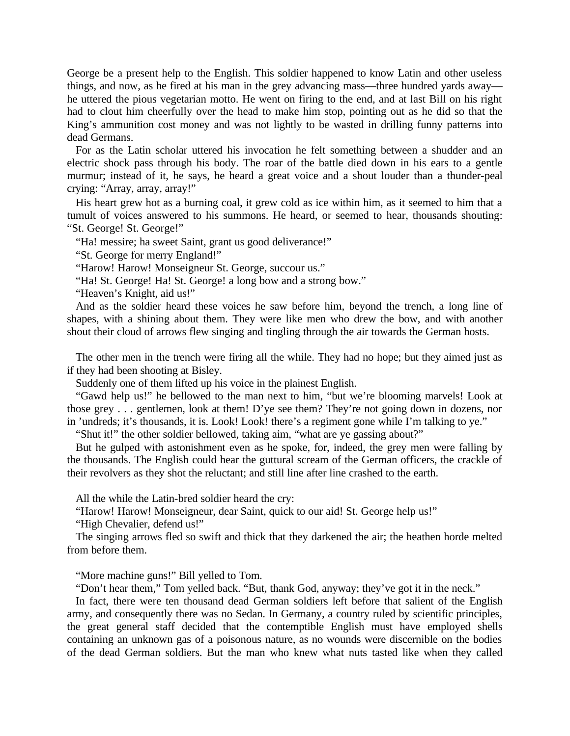George be a present help to the English. This soldier happened to know Latin and other useless things, and now, as he fired at his man in the grey advancing mass—three hundred yards away he uttered the pious vegetarian motto. He went on firing to the end, and at last Bill on his right had to clout him cheerfully over the head to make him stop, pointing out as he did so that the King's ammunition cost money and was not lightly to be wasted in drilling funny patterns into dead Germans.

For as the Latin scholar uttered his invocation he felt something between a shudder and an electric shock pass through his body. The roar of the battle died down in his ears to a gentle murmur; instead of it, he says, he heard a great voice and a shout louder than a thunder-peal crying: "Array, array, array!"

His heart grew hot as a burning coal, it grew cold as ice within him, as it seemed to him that a tumult of voices answered to his summons. He heard, or seemed to hear, thousands shouting: "St. George! St. George!"

"Ha! messire; ha sweet Saint, grant us good deliverance!"

"St. George for merry England!"

"Harow! Harow! Monseigneur St. George, succour us."

"Ha! St. George! Ha! St. George! a long bow and a strong bow."

"Heaven's Knight, aid us!"

And as the soldier heard these voices he saw before him, beyond the trench, a long line of shapes, with a shining about them. They were like men who drew the bow, and with another shout their cloud of arrows flew singing and tingling through the air towards the German hosts.

The other men in the trench were firing all the while. They had no hope; but they aimed just as if they had been shooting at Bisley.

Suddenly one of them lifted up his voice in the plainest English.

"Gawd help us!" he bellowed to the man next to him, "but we're blooming marvels! Look at those grey . . . gentlemen, look at them! D'ye see them? They're not going down in dozens, nor in 'undreds; it's thousands, it is. Look! Look! there's a regiment gone while I'm talking to ye."

"Shut it!" the other soldier bellowed, taking aim, "what are ye gassing about?"

But he gulped with astonishment even as he spoke, for, indeed, the grey men were falling by the thousands. The English could hear the guttural scream of the German officers, the crackle of their revolvers as they shot the reluctant; and still line after line crashed to the earth.

All the while the Latin-bred soldier heard the cry:

"Harow! Harow! Monseigneur, dear Saint, quick to our aid! St. George help us!"

"High Chevalier, defend us!"

The singing arrows fled so swift and thick that they darkened the air; the heathen horde melted from before them.

"More machine guns!" Bill yelled to Tom.

"Don't hear them," Tom yelled back. "But, thank God, anyway; they've got it in the neck."

In fact, there were ten thousand dead German soldiers left before that salient of the English army, and consequently there was no Sedan. In Germany, a country ruled by scientific principles, the great general staff decided that the contemptible English must have employed shells containing an unknown gas of a poisonous nature, as no wounds were discernible on the bodies of the dead German soldiers. But the man who knew what nuts tasted like when they called